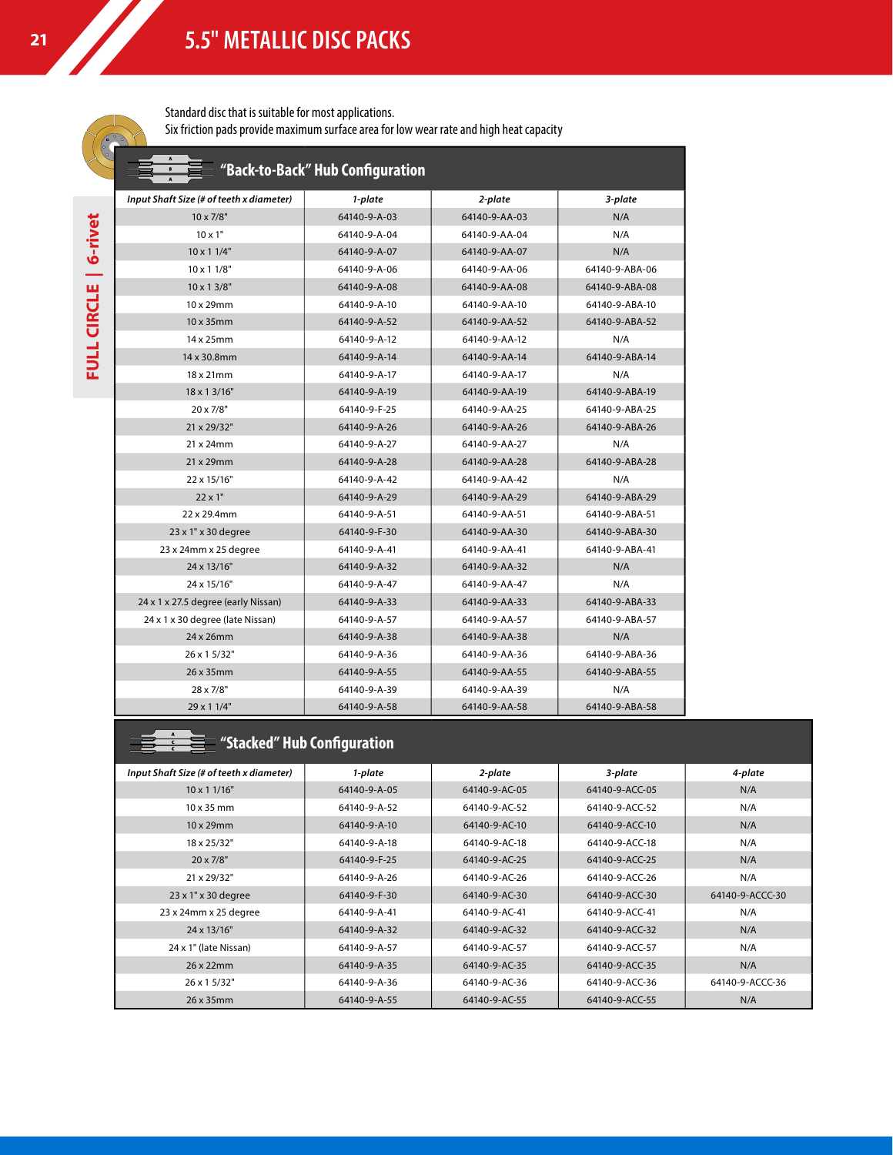## **<sup>21</sup>5.5" metallic disc packs 5.5" metallic disc packs**

Standard disc that is suitable for most applications.

[Six friction pads provide maximum surface area for low wear rate and high heat capacity](https://tiltonracing.com/product-category/driveline/disc-packs/metallic-disc-packs/5-5-inch-metallic-disc-packs/)

| 60      | Six friction pads provide maximum surface area for low wear rate and high heat capacity |                                  |               |                |  |
|---------|-----------------------------------------------------------------------------------------|----------------------------------|---------------|----------------|--|
| $\circ$ | $\,$ A                                                                                  |                                  |               |                |  |
|         | B                                                                                       | "Back-to-Back" Hub Configuration |               |                |  |
|         | Input Shaft Size (# of teeth x diameter)                                                | 1-plate                          | 2-plate       | 3-plate        |  |
|         | $10 \times 7/8"$                                                                        | 64140-9-A-03                     | 64140-9-AA-03 | N/A            |  |
|         | $10 \times 1"$                                                                          | 64140-9-A-04                     | 64140-9-AA-04 | N/A            |  |
|         | 10 x 1 1/4"                                                                             | 64140-9-A-07                     | 64140-9-AA-07 | N/A            |  |
|         | $10 \times 11/8"$                                                                       | 64140-9-A-06                     | 64140-9-AA-06 | 64140-9-ABA-06 |  |
|         | 10 x 1 3/8"                                                                             | 64140-9-A-08                     | 64140-9-AA-08 | 64140-9-ABA-08 |  |
|         | 10 x 29mm                                                                               | 64140-9-A-10                     | 64140-9-AA-10 | 64140-9-ABA-10 |  |
|         | 10 x 35mm                                                                               | 64140-9-A-52                     | 64140-9-AA-52 | 64140-9-ABA-52 |  |
|         | 14 x 25mm                                                                               | 64140-9-A-12                     | 64140-9-AA-12 | N/A            |  |
|         | 14 x 30.8mm                                                                             | 64140-9-A-14                     | 64140-9-AA-14 | 64140-9-ABA-14 |  |
|         | 18 x 21mm                                                                               | 64140-9-A-17                     | 64140-9-AA-17 | N/A            |  |
|         | 18 x 1 3/16"                                                                            | 64140-9-A-19                     | 64140-9-AA-19 | 64140-9-ABA-19 |  |
|         | $20 \times 7/8$ "                                                                       | 64140-9-F-25                     | 64140-9-AA-25 | 64140-9-ABA-25 |  |
|         | 21 x 29/32"                                                                             | 64140-9-A-26                     | 64140-9-AA-26 | 64140-9-ABA-26 |  |
|         | 21 x 24mm                                                                               | 64140-9-A-27                     | 64140-9-AA-27 | N/A            |  |
|         | 21 x 29mm                                                                               | 64140-9-A-28                     | 64140-9-AA-28 | 64140-9-ABA-28 |  |
|         | 22 x 15/16"                                                                             | 64140-9-A-42                     | 64140-9-AA-42 | N/A            |  |
|         | $22 \times 1"$                                                                          | 64140-9-A-29                     | 64140-9-AA-29 | 64140-9-ABA-29 |  |
|         | 22 x 29.4mm                                                                             | 64140-9-A-51                     | 64140-9-AA-51 | 64140-9-ABA-51 |  |
|         | 23 x 1" x 30 degree                                                                     | 64140-9-F-30                     | 64140-9-AA-30 | 64140-9-ABA-30 |  |
|         | 23 x 24mm x 25 degree                                                                   | 64140-9-A-41                     | 64140-9-AA-41 | 64140-9-ABA-41 |  |
|         | 24 x 13/16"                                                                             | 64140-9-A-32                     | 64140-9-AA-32 | N/A            |  |
|         | 24 x 15/16"                                                                             | 64140-9-A-47                     | 64140-9-AA-47 | N/A            |  |
|         | 24 x 1 x 27.5 degree (early Nissan)                                                     | 64140-9-A-33                     | 64140-9-AA-33 | 64140-9-ABA-33 |  |
|         | 24 x 1 x 30 degree (late Nissan)                                                        | 64140-9-A-57                     | 64140-9-AA-57 | 64140-9-ABA-57 |  |
|         | 24 x 26mm                                                                               | 64140-9-A-38                     | 64140-9-AA-38 | N/A            |  |
|         | 26 x 1 5/32"                                                                            | 64140-9-A-36                     | 64140-9-AA-36 | 64140-9-ABA-36 |  |
|         | 26 x 35mm                                                                               | 64140-9-A-55                     | 64140-9-AA-55 | 64140-9-ABA-55 |  |
|         | 28 x 7/8"                                                                               | 64140-9-A-39                     | 64140-9-AA-39 | N/A            |  |
|         | 29 x 1 1/4"                                                                             | 64140-9-A-58                     | 64140-9-AA-58 | 64140-9-ABA-58 |  |

## **"Stacked" Hub Configuration**

| Input Shaft Size (# of teeth x diameter) | 1-plate      | 2-plate       | 3-plate        | 4-plate         |
|------------------------------------------|--------------|---------------|----------------|-----------------|
| $10 \times 11/16"$                       | 64140-9-A-05 | 64140-9-AC-05 | 64140-9-ACC-05 | N/A             |
| $10 \times 35$ mm                        | 64140-9-A-52 | 64140-9-AC-52 | 64140-9-ACC-52 | N/A             |
| $10 \times 29$ mm                        | 64140-9-A-10 | 64140-9-AC-10 | 64140-9-ACC-10 | N/A             |
| 18 x 25/32"                              | 64140-9-A-18 | 64140-9-AC-18 | 64140-9-ACC-18 | N/A             |
| $20 \times 7/8"$                         | 64140-9-F-25 | 64140-9-AC-25 | 64140-9-ACC-25 | N/A             |
| 21 x 29/32"                              | 64140-9-A-26 | 64140-9-AC-26 | 64140-9-ACC-26 | N/A             |
| $23 \times 1" \times 30$ degree          | 64140-9-F-30 | 64140-9-AC-30 | 64140-9-ACC-30 | 64140-9-ACCC-30 |
| 23 x 24mm x 25 degree                    | 64140-9-A-41 | 64140-9-AC-41 | 64140-9-ACC-41 | N/A             |
| 24 x 13/16"                              | 64140-9-A-32 | 64140-9-AC-32 | 64140-9-ACC-32 | N/A             |
| 24 x 1" (late Nissan)                    | 64140-9-A-57 | 64140-9-AC-57 | 64140-9-ACC-57 | N/A             |
| $26 \times 22$ mm                        | 64140-9-A-35 | 64140-9-AC-35 | 64140-9-ACC-35 | N/A             |
| 26 x 1 5/32"                             | 64140-9-A-36 | 64140-9-AC-36 | 64140-9-ACC-36 | 64140-9-ACCC-36 |
| 26 x 35mm                                | 64140-9-A-55 | 64140-9-AC-55 | 64140-9-ACC-55 | N/A             |

**FULL CIRCLE | 6-rivet**

FULL CIRCLE | 6-rivet